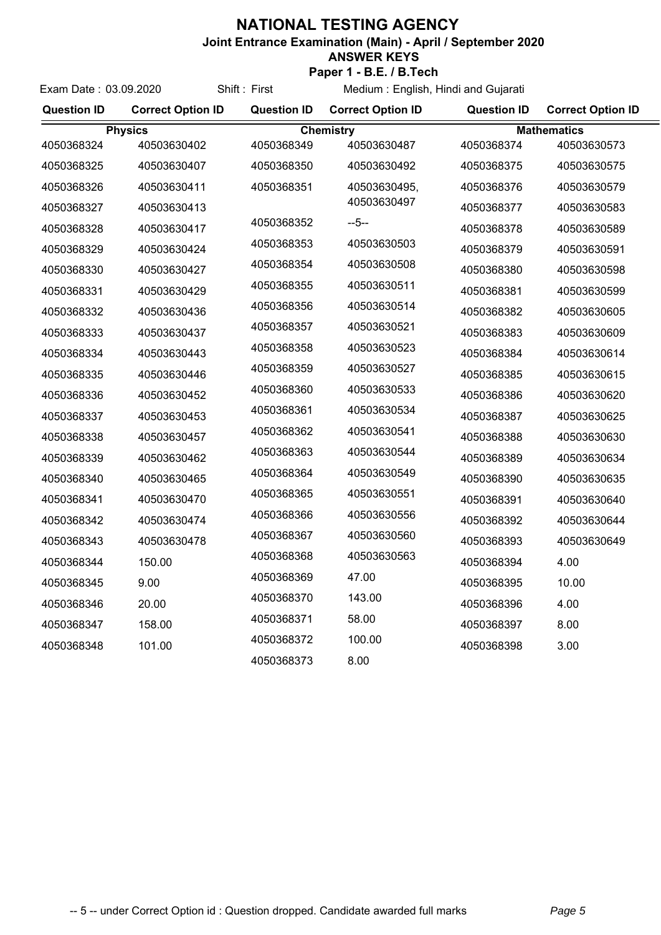## **NATIONAL TESTING AGENCY**

Exam Date : 03.09.2020 Shift : First

**Joint Entrance Examination (Main) - April / September 2020**

## **ANSWER KEYS**

**Paper 1 - B.E. / B.Tech**

Medium : English, Hindi and Gujarati

| <b>Question ID</b> | <b>Correct Option ID</b> | <b>Question ID</b> | <b>Correct Option ID</b> | <b>Question ID</b> | <b>Correct Option ID</b> |  |
|--------------------|--------------------------|--------------------|--------------------------|--------------------|--------------------------|--|
| <b>Physics</b>     |                          | <b>Chemistry</b>   |                          |                    | <b>Mathematics</b>       |  |
| 4050368324         | 40503630402              | 4050368349         | 40503630487              | 4050368374         | 40503630573              |  |
| 4050368325         | 40503630407              | 4050368350         | 40503630492              | 4050368375         | 40503630575              |  |
| 4050368326         | 40503630411              | 4050368351         | 40503630495,             | 4050368376         | 40503630579              |  |
| 4050368327         | 40503630413              |                    | 40503630497              | 4050368377         | 40503630583              |  |
| 4050368328         | 40503630417              | 4050368352         | $-5-$                    | 4050368378         | 40503630589              |  |
| 4050368329         | 40503630424              | 4050368353         | 40503630503              | 4050368379         | 40503630591              |  |
| 4050368330         | 40503630427              | 4050368354         | 40503630508              | 4050368380         | 40503630598              |  |
| 4050368331         | 40503630429              | 4050368355         | 40503630511              | 4050368381         | 40503630599              |  |
| 4050368332         | 40503630436              | 4050368356         | 40503630514              | 4050368382         | 40503630605              |  |
| 4050368333         | 40503630437              | 4050368357         | 40503630521              | 4050368383         | 40503630609              |  |
| 4050368334         | 40503630443              | 4050368358         | 40503630523              | 4050368384         | 40503630614              |  |
| 4050368335         | 40503630446              | 4050368359         | 40503630527              | 4050368385         | 40503630615              |  |
| 4050368336         | 40503630452              | 4050368360         | 40503630533              | 4050368386         | 40503630620              |  |
| 4050368337         | 40503630453              | 4050368361         | 40503630534              | 4050368387         | 40503630625              |  |
| 4050368338         | 40503630457              | 4050368362         | 40503630541              | 4050368388         | 40503630630              |  |
| 4050368339         | 40503630462              | 4050368363         | 40503630544              | 4050368389         | 40503630634              |  |
| 4050368340         | 40503630465              | 4050368364         | 40503630549              | 4050368390         | 40503630635              |  |
| 4050368341         | 40503630470              | 4050368365         | 40503630551              | 4050368391         | 40503630640              |  |
| 4050368342         | 40503630474              | 4050368366         | 40503630556              | 4050368392         | 40503630644              |  |
| 4050368343         | 40503630478              | 4050368367         | 40503630560              | 4050368393         | 40503630649              |  |
| 4050368344         | 150.00                   | 4050368368         | 40503630563              | 4050368394         | 4.00                     |  |
| 4050368345         | 9.00                     | 4050368369         | 47.00                    | 4050368395         | 10.00                    |  |
| 4050368346         | 20.00                    | 4050368370         | 143.00                   | 4050368396         | 4.00                     |  |
| 4050368347         | 158.00                   | 4050368371         | 58.00                    | 4050368397         | 8.00                     |  |
| 4050368348         | 101.00                   | 4050368372         | 100.00                   | 4050368398         | 3.00                     |  |
|                    |                          | 4050368373         | 8.00                     |                    |                          |  |